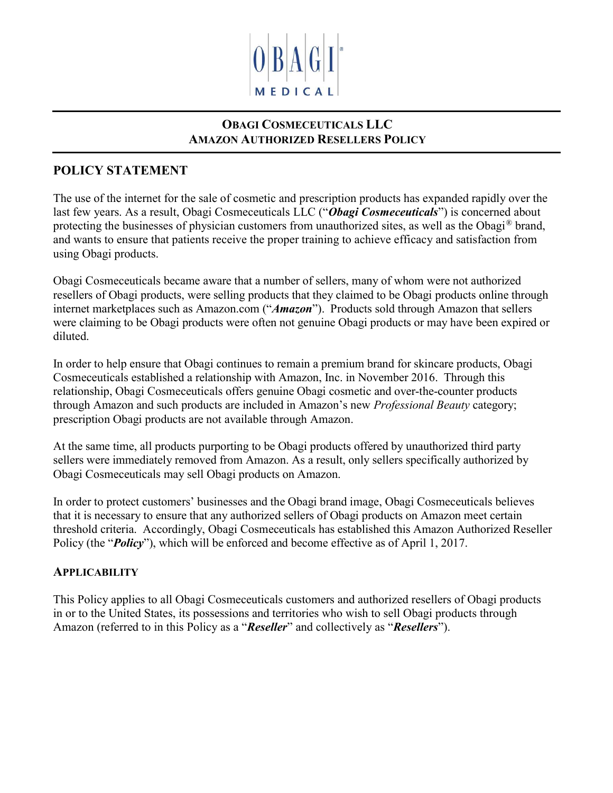

# OBAGI COSMECEUTICALS LLC AMAZON AUTHORIZED RESELLERS POLICY

# POLICY STATEMENT

The use of the internet for the sale of cosmetic and prescription products has expanded rapidly over the last few years. As a result, Obagi Cosmeceuticals LLC ("Obagi Cosmeceuticals") is concerned about protecting the businesses of physician customers from unauthorized sites, as well as the Obagi<sup>®</sup> brand, and wants to ensure that patients receive the proper training to achieve efficacy and satisfaction from using Obagi products.

Obagi Cosmeceuticals became aware that a number of sellers, many of whom were not authorized resellers of Obagi products, were selling products that they claimed to be Obagi products online through internet marketplaces such as Amazon.com ("Amazon"). Products sold through Amazon that sellers were claiming to be Obagi products were often not genuine Obagi products or may have been expired or diluted.

In order to help ensure that Obagi continues to remain a premium brand for skincare products, Obagi Cosmeceuticals established a relationship with Amazon, Inc. in November 2016. Through this relationship, Obagi Cosmeceuticals offers genuine Obagi cosmetic and over-the-counter products through Amazon and such products are included in Amazon's new *Professional Beauty* category; prescription Obagi products are not available through Amazon.

At the same time, all products purporting to be Obagi products offered by unauthorized third party sellers were immediately removed from Amazon. As a result, only sellers specifically authorized by Obagi Cosmeceuticals may sell Obagi products on Amazon.

In order to protect customers' businesses and the Obagi brand image, Obagi Cosmeceuticals believes that it is necessary to ensure that any authorized sellers of Obagi products on Amazon meet certain threshold criteria. Accordingly, Obagi Cosmeceuticals has established this Amazon Authorized Reseller Policy (the "*Policy*"), which will be enforced and become effective as of April 1, 2017.

#### **APPLICABILITY**

This Policy applies to all Obagi Cosmeceuticals customers and authorized resellers of Obagi products in or to the United States, its possessions and territories who wish to sell Obagi products through Amazon (referred to in this Policy as a "Reseller" and collectively as "Resellers").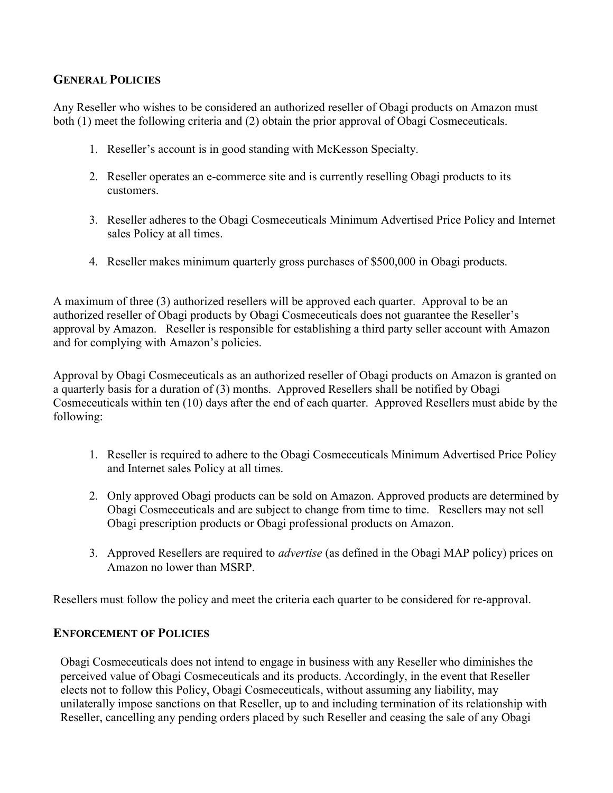### GENERAL POLICIES

Any Reseller who wishes to be considered an authorized reseller of Obagi products on Amazon must both (1) meet the following criteria and (2) obtain the prior approval of Obagi Cosmeceuticals.

- 1. Reseller's account is in good standing with McKesson Specialty.
- 2. Reseller operates an e-commerce site and is currently reselling Obagi products to its customers.
- 3. Reseller adheres to the Obagi Cosmeceuticals Minimum Advertised Price Policy and Internet sales Policy at all times.
- 4. Reseller makes minimum quarterly gross purchases of \$500,000 in Obagi products.

A maximum of three (3) authorized resellers will be approved each quarter. Approval to be an authorized reseller of Obagi products by Obagi Cosmeceuticals does not guarantee the Reseller's approval by Amazon. Reseller is responsible for establishing a third party seller account with Amazon and for complying with Amazon's policies.

Approval by Obagi Cosmeceuticals as an authorized reseller of Obagi products on Amazon is granted on a quarterly basis for a duration of (3) months. Approved Resellers shall be notified by Obagi Cosmeceuticals within ten (10) days after the end of each quarter. Approved Resellers must abide by the following:

- 1. Reseller is required to adhere to the Obagi Cosmeceuticals Minimum Advertised Price Policy and Internet sales Policy at all times.
- 2. Only approved Obagi products can be sold on Amazon. Approved products are determined by Obagi Cosmeceuticals and are subject to change from time to time. Resellers may not sell Obagi prescription products or Obagi professional products on Amazon.
- 3. Approved Resellers are required to *advertise* (as defined in the Obagi MAP policy) prices on Amazon no lower than MSRP.

Resellers must follow the policy and meet the criteria each quarter to be considered for re-approval.

#### ENFORCEMENT OF POLICIES

Obagi Cosmeceuticals does not intend to engage in business with any Reseller who diminishes the perceived value of Obagi Cosmeceuticals and its products. Accordingly, in the event that Reseller elects not to follow this Policy, Obagi Cosmeceuticals, without assuming any liability, may unilaterally impose sanctions on that Reseller, up to and including termination of its relationship with Reseller, cancelling any pending orders placed by such Reseller and ceasing the sale of any Obagi